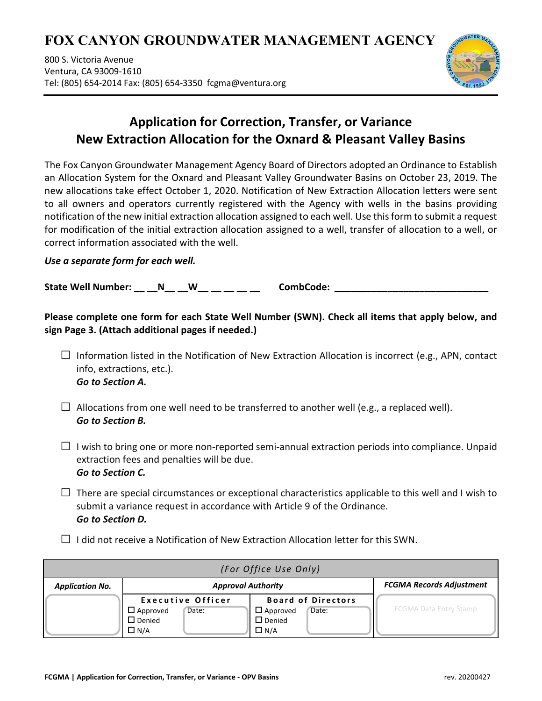# **FOX CANYON GROUNDWATER MANAGEMENT AGENCY**

800 S. Victoria Avenue Ventura, CA 93009-1610 Tel: (805) 654-2014 Fax: (805) 654-3350 fcgma@ventura.org



## **Application for Correction, Transfer, or Variance New Extraction Allocation for the Oxnard & Pleasant Valley Basins**

The Fox Canyon Groundwater Management Agency Board of Directors adopted an Ordinance to Establish an Allocation System for the Oxnard and Pleasant Valley Groundwater Basins on October 23, 2019. The new allocations take effect October 1, 2020. Notification of New Extraction Allocation letters were sent to all owners and operators currently registered with the Agency with wells in the basins providing notification of the new initial extraction allocation assigned to each well. Use this form to submit a request for modification of the initial extraction allocation assigned to a well, transfer of allocation to a well, or correct information associated with the well.

#### *Use a separate form for each well.*

**State Well Number: \_\_ \_\_N\_\_ \_\_W\_\_ \_\_ \_\_ \_\_ \_\_ CombCode: \_\_\_\_\_\_\_\_\_\_\_\_\_\_\_\_\_\_\_\_\_\_\_\_\_\_\_\_\_**

**Please complete one form for each State Well Number (SWN). Check all items that apply below, and sign Page 3. (Attach additional pages if needed.)**

- $\square$  Information listed in the Notification of New Extraction Allocation is incorrect (e.g., APN, contact info, extractions, etc.). *Go to Section A.*
- $\square$  Allocations from one well need to be transferred to another well (e.g., a replaced well). *Go to Section B.*
- $\Box$  I wish to bring one or more non-reported semi-annual extraction periods into compliance. Unpaid extraction fees and penalties will be due. *Go to Section C.*
- $\Box$  There are special circumstances or exceptional characteristics applicable to this well and I wish to submit a variance request in accordance with Article 9 of the Ordinance. *Go to Section D.*
- $\square$  I did not receive a Notification of New Extraction Allocation letter for this SWN.

| (For Office Use Only)  |                             |                                 |                               |  |  |
|------------------------|-----------------------------|---------------------------------|-------------------------------|--|--|
| <b>Application No.</b> | <b>Approval Authority</b>   | <b>FCGMA Records Adjustment</b> |                               |  |  |
|                        | Executive Officer           | <b>Board of Directors</b>       |                               |  |  |
|                        | $\square$ Approved<br>Date: | $\square$ Approved<br>Date:     | <b>FCGMA Data Entry Stamp</b> |  |  |
|                        | $\square$ Denied            | $\square$ Denied                |                               |  |  |
|                        | $\Box$ N/A                  | $\Box$ N/A                      |                               |  |  |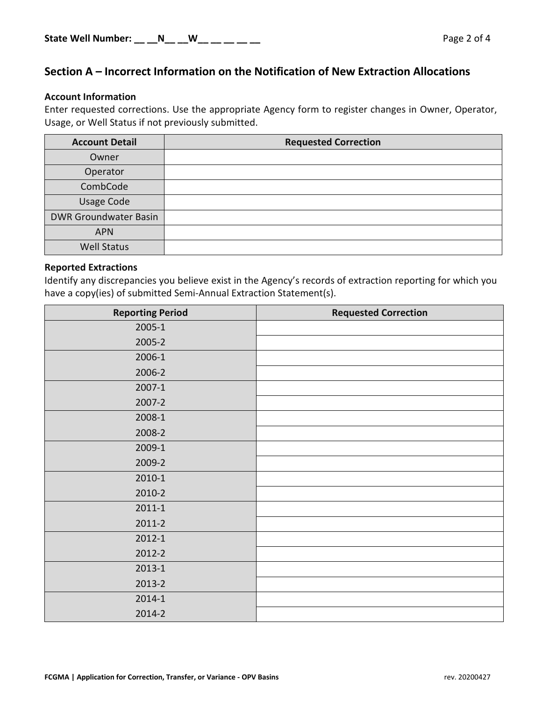### **Section A – Incorrect Information on the Notification of New Extraction Allocations**

#### **Account Information**

Enter requested corrections. Use the appropriate Agency form to register changes in Owner, Operator, Usage, or Well Status if not previously submitted.

| <b>Account Detail</b>        | <b>Requested Correction</b> |  |
|------------------------------|-----------------------------|--|
| Owner                        |                             |  |
| Operator                     |                             |  |
| CombCode                     |                             |  |
| <b>Usage Code</b>            |                             |  |
| <b>DWR Groundwater Basin</b> |                             |  |
| <b>APN</b>                   |                             |  |
| <b>Well Status</b>           |                             |  |

#### **Reported Extractions**

Identify any discrepancies you believe exist in the Agency's records of extraction reporting for which you have a copy(ies) of submitted Semi-Annual Extraction Statement(s).

| <b>Reporting Period</b> | <b>Requested Correction</b> |
|-------------------------|-----------------------------|
| 2005-1                  |                             |
| 2005-2                  |                             |
| 2006-1                  |                             |
| 2006-2                  |                             |
| 2007-1                  |                             |
| 2007-2                  |                             |
| 2008-1                  |                             |
| 2008-2                  |                             |
| 2009-1                  |                             |
| 2009-2                  |                             |
| 2010-1                  |                             |
| 2010-2                  |                             |
| $2011 - 1$              |                             |
| 2011-2                  |                             |
| 2012-1                  |                             |
| 2012-2                  |                             |
| $2013 - 1$              |                             |
| 2013-2                  |                             |
| 2014-1                  |                             |
| 2014-2                  |                             |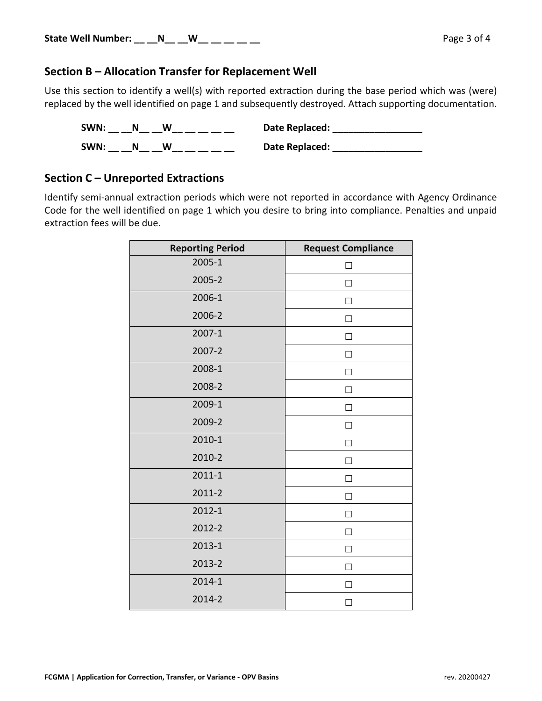#### **Section B – Allocation Transfer for Replacement Well**

Use this section to identify a well(s) with reported extraction during the base period which was (were) replaced by the well identified on page 1 and subsequently destroyed. Attach supporting documentation.

| SWN: |  | Date Replaced: |
|------|--|----------------|
| SWN: |  | Date Replaced: |

#### **Section C – Unreported Extractions**

Identify semi-annual extraction periods which were not reported in accordance with Agency Ordinance Code for the well identified on page 1 which you desire to bring into compliance. Penalties and unpaid extraction fees will be due.

| <b>Reporting Period</b> | <b>Request Compliance</b> |
|-------------------------|---------------------------|
| 2005-1                  | П                         |
| 2005-2                  | П                         |
| 2006-1                  | $\mathsf{L}$              |
| 2006-2                  | П                         |
| 2007-1                  | П                         |
| 2007-2                  | H                         |
| 2008-1                  | □                         |
| 2008-2                  | ΙI                        |
| 2009-1                  | П                         |
| 2009-2                  | П                         |
| 2010-1                  | ΙI                        |
| 2010-2                  | П                         |
| $2011 - 1$              | П                         |
| 2011-2                  | П                         |
| 2012-1                  | П                         |
| 2012-2                  | $\blacksquare$            |
| 2013-1                  | П                         |
| 2013-2                  | П                         |
| 2014-1                  | П                         |
| 2014-2                  | $\blacksquare$            |